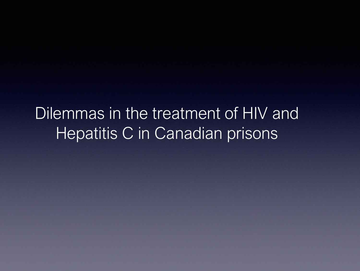Dilemmas in the treatment of HIV and Hepatitis C in Canadian prisons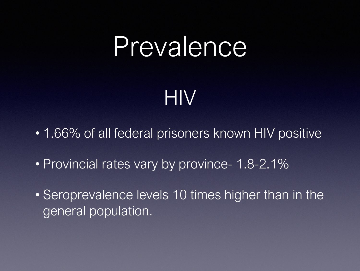#### Prevalence

#### HIV

- 1.66% of all federal prisoners known HIV positive
- Provincial rates vary by province- 1.8-2.1%
- Seroprevalence levels 10 times higher than in the general population.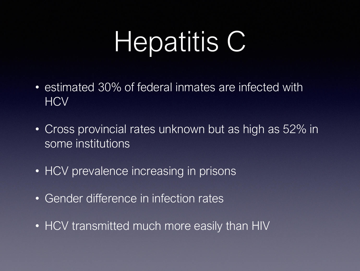# Hepatitis C

- estimated 30% of federal inmates are infected with **HCV**
- Cross provincial rates unknown but as high as 52% in some institutions
- HCV prevalence increasing in prisons
- Gender difference in infection rates
- HCV transmitted much more easily than HIV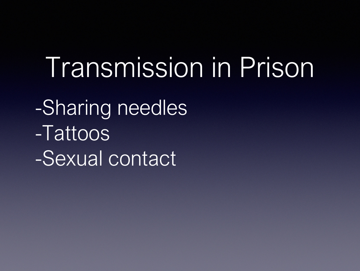#### Transmission in Prison

-Sharing needles -Tattoos -Sexual contact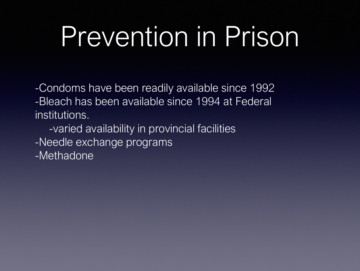### Prevention in Prison

-Condoms have been readily available since 1992 -Bleach has been available since 1994 at Federal institutions.

- -varied availability in provincial facilities
- -Needle exchange programs
- -Methadone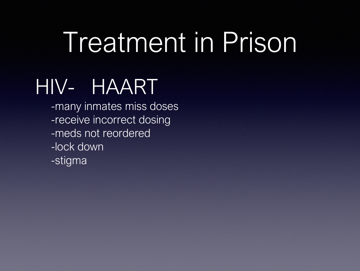# Treatment in Prison

#### HIV- HAART

-many inmates miss doses -receive incorrect dosing -meds not reordered -lock down -stigma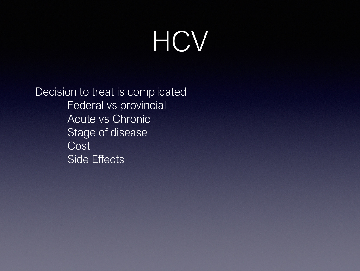# HCV

Decision to treat is complicated Federal vs provincial Acute vs Chronic Stage of disease Cost Side Effects